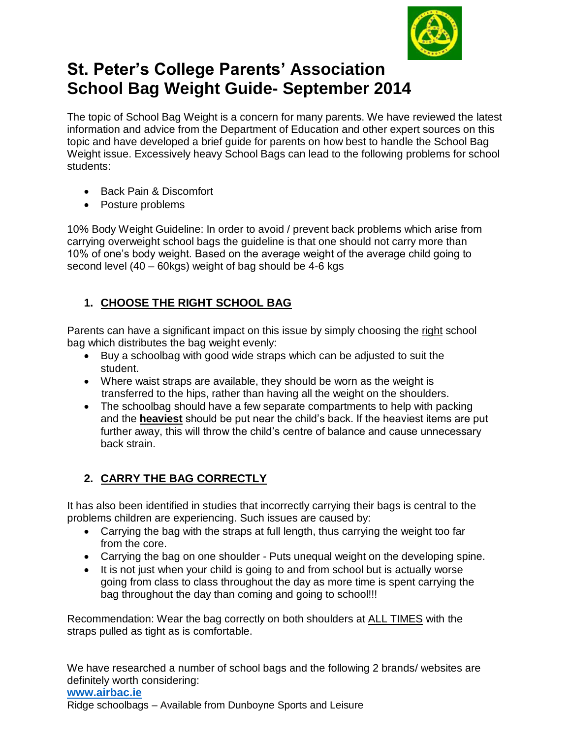

# **St. Peter's College Parents' Association School Bag Weight Guide- September 2014**

The topic of School Bag Weight is a concern for many parents. We have reviewed the latest information and advice from the Department of Education and other expert sources on this topic and have developed a brief guide for parents on how best to handle the School Bag Weight issue. Excessively heavy School Bags can lead to the following problems for school students:

- Back Pain & Discomfort
- Posture problems

10% Body Weight Guideline: In order to avoid / prevent back problems which arise from carrying overweight school bags the guideline is that one should not carry more than 10% of one's body weight. Based on the average weight of the average child going to second level (40 – 60kgs) weight of bag should be 4-6 kgs

## **1. CHOOSE THE RIGHT SCHOOL BAG**

Parents can have a significant impact on this issue by simply choosing the right school bag which distributes the bag weight evenly:

- Buy a schoolbag with good wide straps which can be adjusted to suit the student.
- Where waist straps are available, they should be worn as the weight is transferred to the hips, rather than having all the weight on the shoulders.
- The schoolbag should have a few separate compartments to help with packing and the **heaviest** should be put near the child's back. If the heaviest items are put further away, this will throw the child's centre of balance and cause unnecessary back strain.

## **2. CARRY THE BAG CORRECTLY**

It has also been identified in studies that incorrectly carrying their bags is central to the problems children are experiencing. Such issues are caused by:

- Carrying the bag with the straps at full length, thus carrying the weight too far from the core.
- Carrying the bag on one shoulder Puts unequal weight on the developing spine.
- It is not just when your child is going to and from school but is actually worse going from class to class throughout the day as more time is spent carrying the bag throughout the day than coming and going to school!!!

Recommendation: Wear the bag correctly on both shoulders at ALL TIMES with the straps pulled as tight as is comfortable.

We have researched a number of school bags and the following 2 brands/ websites are definitely worth considering:

#### **[www.airbac.ie](http://www.airbac.ie/)** Ridge schoolbags – Available from Dunboyne Sports and Leisure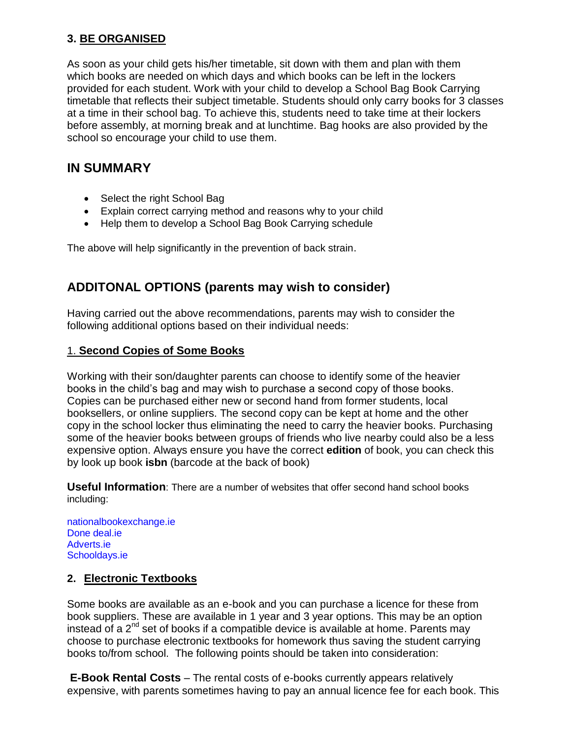## **3. BE ORGANISED**

As soon as your child gets his/her timetable, sit down with them and plan with them which books are needed on which days and which books can be left in the lockers provided for each student. Work with your child to develop a School Bag Book Carrying timetable that reflects their subject timetable. Students should only carry books for 3 classes at a time in their school bag. To achieve this, students need to take time at their lockers before assembly, at morning break and at lunchtime. Bag hooks are also provided by the school so encourage your child to use them.

## **IN SUMMARY**

- Select the right School Bag
- Explain correct carrying method and reasons why to your child
- Help them to develop a School Bag Book Carrying schedule

The above will help significantly in the prevention of back strain.

## **ADDITONAL OPTIONS (parents may wish to consider)**

Having carried out the above recommendations, parents may wish to consider the following additional options based on their individual needs:

### 1. **Second Copies of Some Books**

Working with their son/daughter parents can choose to identify some of the heavier books in the child's bag and may wish to purchase a second copy of those books. Copies can be purchased either new or second hand from former students, local booksellers, or online suppliers. The second copy can be kept at home and the other copy in the school locker thus eliminating the need to carry the heavier books. Purchasing some of the heavier books between groups of friends who live nearby could also be a less expensive option. Always ensure you have the correct **edition** of book, you can check this by look up book **isbn** (barcode at the back of book)

**Useful Information**: There are a number of websites that offer second hand school books including:

nationalbookexchange.ie Done deal.ie Adverts.ie Schooldays.ie

### **2. Electronic Textbooks**

Some books are available as an e-book and you can purchase a licence for these from book suppliers. These are available in 1 year and 3 year options. This may be an option instead of a  $2^{nd}$  set of books if a compatible device is available at home. Parents may choose to purchase electronic textbooks for homework thus saving the student carrying books to/from school. The following points should be taken into consideration:

**E-Book Rental Costs** – The rental costs of e-books currently appears relatively expensive, with parents sometimes having to pay an annual licence fee for each book. This